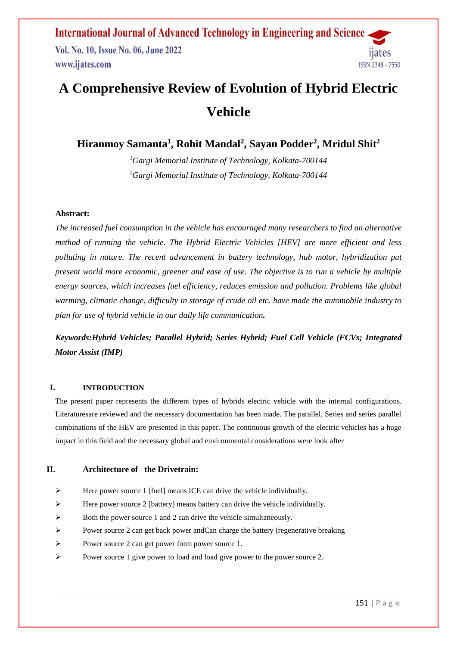**International Journal of Advanced Technology in Engineering and Science** Vol. No. 10, Issue No. 06, June 2022 www.ijates.com **ISSN 2348 - 7550** 

# **A Comprehensive Review of Evolution of Hybrid Electric Vehicle**

**Hiranmoy Samanta<sup>1</sup> , Rohit Mandal<sup>2</sup> , Sayan Podder<sup>2</sup> , Mridul Shit<sup>2</sup>**

*<sup>1</sup>Gargi Memorial Institute of Technology, Kolkata-700144 <sup>2</sup>Gargi Memorial Institute of Technology, Kolkata-700144*

#### **Abstract:**

*The increased fuel consumption in the vehicle has encouraged many researchers to find an alternative method of running the vehicle. The Hybrid Electric Vehicles [HEV] are more efficient and less polluting in nature. The recent advancement in battery technology, hub motor, hybridization put present world more economic, greener and ease of use. The objective is to run a vehicle by multiple energy sources, which increases fuel efficiency, reduces emission and pollution. Problems like global warming, climatic change, difficulty in storage of crude oil etc. have made the automobile industry to plan for use of hybrid vehicle in our daily life communication.*

## *Keywords:Hybrid Vehicles; Parallel Hybrid; Series Hybrid; Fuel Cell Vehicle (FCVs; Integrated Motor Assist (IMP)*

#### **I. INTRODUCTION**

The present paper represents the different types of hybrids electric vehicle with the internal configurations. Literaturesare reviewed and the necessary documentation has been made. The parallel, Series and series parallel combinations of the HEV are presented in this paper. The continuous growth of the electric vehicles has a huge impact in this field and the necessary global and environmental considerations were look after

#### **II. Architecture of the Drivetrain:**

- Here power source 1 [fuel] means ICE can drive the vehicle individually.
- $\triangleright$  Here power source 2 [battery] means battery can drive the vehicle individually.
- $\triangleright$  Both the power source 1 and 2 can drive the vehicle simultaneously.
- Power source 2 can get back power and Can charge the battery (regenerative breaking
- Power source 2 can get power form power source 1.
- Power source 1 give power to load and load give power to the power source 2.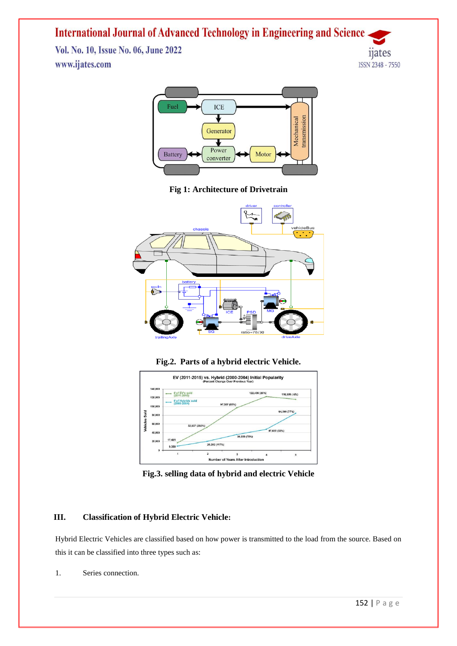Vol. No. 10, Issue No. 06, June 2022 www.ijates.com





**Fig 1: Architecture of Drivetrain**







**Fig.3. selling data of hybrid and electric Vehicle**

#### **III. Classification of Hybrid Electric Vehicle:**

Hybrid Electric Vehicles are classified based on how power is transmitted to the load from the source. Based on this it can be classified into three types such as:

1. Series connection.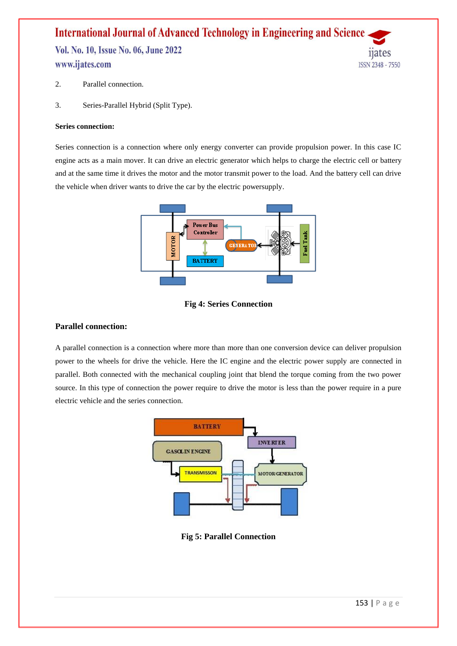Vol. No. 10, Issue No. 06, June 2022 www.ijates.com



- 2. Parallel connection.
- 3. Series-Parallel Hybrid (Split Type).

#### **Series connection:**

Series connection is a connection where only energy converter can provide propulsion power. In this case IC engine acts as a main mover. It can drive an electric generator which helps to charge the electric cell or battery and at the same time it drives the motor and the motor transmit power to the load. And the battery cell can drive the vehicle when driver wants to drive the car by the electric powersupply.





#### **Parallel connection:**

A parallel connection is a connection where more than more than one conversion device can deliver propulsion power to the wheels for drive the vehicle. Here the IC engine and the electric power supply are connected in parallel. Both connected with the mechanical coupling joint that blend the torque coming from the two power source. In this type of connection the power require to drive the motor is less than the power require in a pure electric vehicle and the series connection.



**Fig 5: Parallel Connection**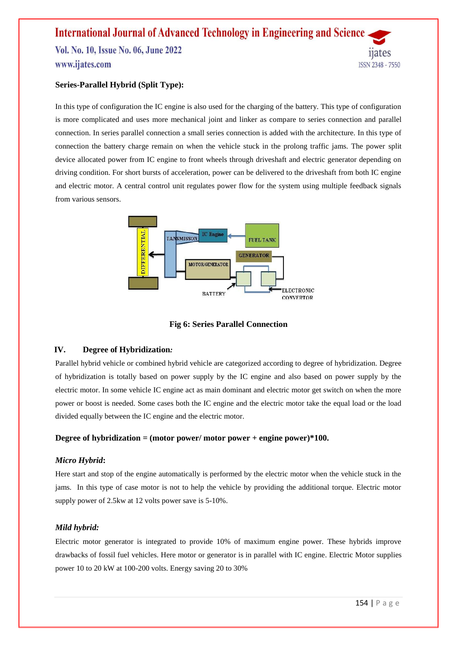Vol. No. 10, Issue No. 06, June 2022 www.ijates.com



In this type of configuration the IC engine is also used for the charging of the battery. This type of configuration is more complicated and uses more mechanical joint and linker as compare to series connection and parallel connection. In series parallel connection a small series connection is added with the architecture. In this type of connection the battery charge remain on when the vehicle stuck in the prolong traffic jams. The power split device allocated power from IC engine to front wheels through driveshaft and electric generator depending on driving condition. For short bursts of acceleration, power can be delivered to the driveshaft from both IC engine and electric motor. A central control unit regulates power flow for the system using multiple feedback signals from various sensors.



**Fig 6: Series Parallel Connection**

#### **IV. Degree of Hybridization***:*

Parallel hybrid vehicle or combined hybrid vehicle are categorized according to degree of hybridization. Degree of hybridization is totally based on power supply by the IC engine and also based on power supply by the electric motor. In some vehicle IC engine act as main dominant and electric motor get switch on when the more power or boost is needed. Some cases both the IC engine and the electric motor take the equal load or the load divided equally between the IC engine and the electric motor.

#### **Degree of hybridization = (motor power/ motor power + engine power)\*100.**

#### *Micro Hybrid***:**

Here start and stop of the engine automatically is performed by the electric motor when the vehicle stuck in the jams. In this type of case motor is not to help the vehicle by providing the additional torque. Electric motor supply power of 2.5kw at 12 volts power save is 5-10%.

#### *Mild hybrid:*

Electric motor generator is integrated to provide 10% of maximum engine power. These hybrids improve drawbacks of fossil fuel vehicles. Here motor or generator is in parallel with IC engine. Electric Motor supplies power 10 to 20 kW at 100-200 volts. Energy saving 20 to 30%

11ates

ISSN 2348 - 7550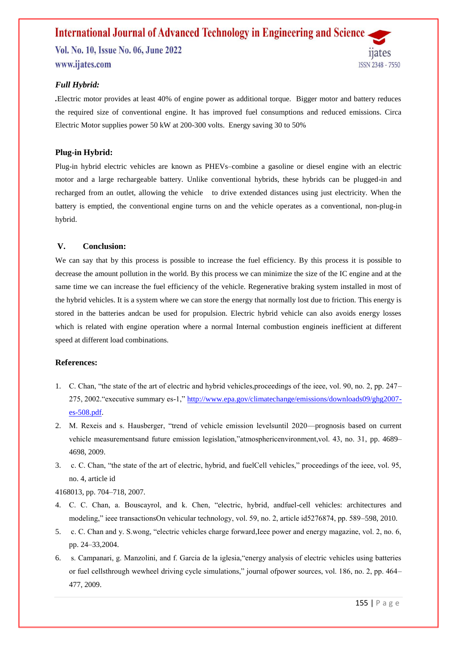### **International Journal of Advanced Technology in Engineering and Science** Vol. No. 10, Issue No. 06, June 2022 www.ijates.com **ISSN 2348 - 7550**

#### *Full Hybrid:*

*.*Electric motor provides at least 40% of engine power as additional torque. Bigger motor and battery reduces the required size of conventional engine. It has improved fuel consumptions and reduced emissions. Circa Electric Motor supplies power 50 kW at 200-300 volts. Energy saving 30 to 50%

#### **Plug-in Hybrid:**

Plug-in hybrid electric vehicles are known as PHEVs–combine a gasoline or diesel engine with an electric motor and a large rechargeable battery. Unlike conventional hybrids, these hybrids can be plugged-in and recharged from an outlet, allowing the vehicle to drive extended distances using just electricity. When the battery is emptied, the conventional engine turns on and the vehicle operates as a conventional, non-plug-in hybrid.

#### **V. Conclusion:**

We can say that by this process is possible to increase the fuel efficiency. By this process it is possible to decrease the amount pollution in the world. By this process we can minimize the size of the IC engine and at the same time we can increase the fuel efficiency of the vehicle. Regenerative braking system installed in most of the hybrid vehicles. It is a system where we can store the energy that normally lost due to friction. This energy is stored in the batteries andcan be used for propulsion. Electric hybrid vehicle can also avoids energy losses which is related with engine operation where a normal Internal combustion engineis inefficient at different speed at different load combinations.

#### **References:**

- 1. C. Chan, "the state of the art of electric and hybrid vehicles,proceedings of the ieee, vol. 90, no. 2, pp. 247– 275, 2002."executive summary es-1," [http://www.epa.gov/climatechange/emissions/downloads09/ghg2007](http://www.epa.gov/CLIMATECHANGE/EMISSIONS/DOWNLOADS09/GHG2007-ES-508.PDF) [es-508.pdf.](http://www.epa.gov/CLIMATECHANGE/EMISSIONS/DOWNLOADS09/GHG2007-ES-508.PDF)
- 2. M. Rexeis and s. Hausberger, "trend of vehicle emission levelsuntil 2020—prognosis based on current vehicle measurementsand future emission legislation,"atmosphericenvironment,vol. 43, no. 31, pp. 4689– 4698, 2009.
- 3. c. C. Chan, "the state of the art of electric, hybrid, and fuelCell vehicles," proceedings of the ieee, vol. 95, no. 4, article id

4168013, pp. 704–718, 2007.

- 4. C. C. Chan, a. Bouscayrol, and k. Chen, "electric, hybrid, andfuel-cell vehicles: architectures and modeling," ieee transactionsOn vehicular technology, vol. 59, no. 2, article id5276874, pp. 589–598, 2010.
- 5. c. C. Chan and y. S.wong, "electric vehicles charge forward,Ieee power and energy magazine, vol. 2, no. 6, pp. 24–33,2004.
- 6. s. Campanari, g. Manzolini, and f. Garcia de la iglesia,"energy analysis of electric vehicles using batteries or fuel cellsthrough wewheel driving cycle simulations," journal ofpower sources, vol. 186, no. 2, pp. 464– 477, 2009.